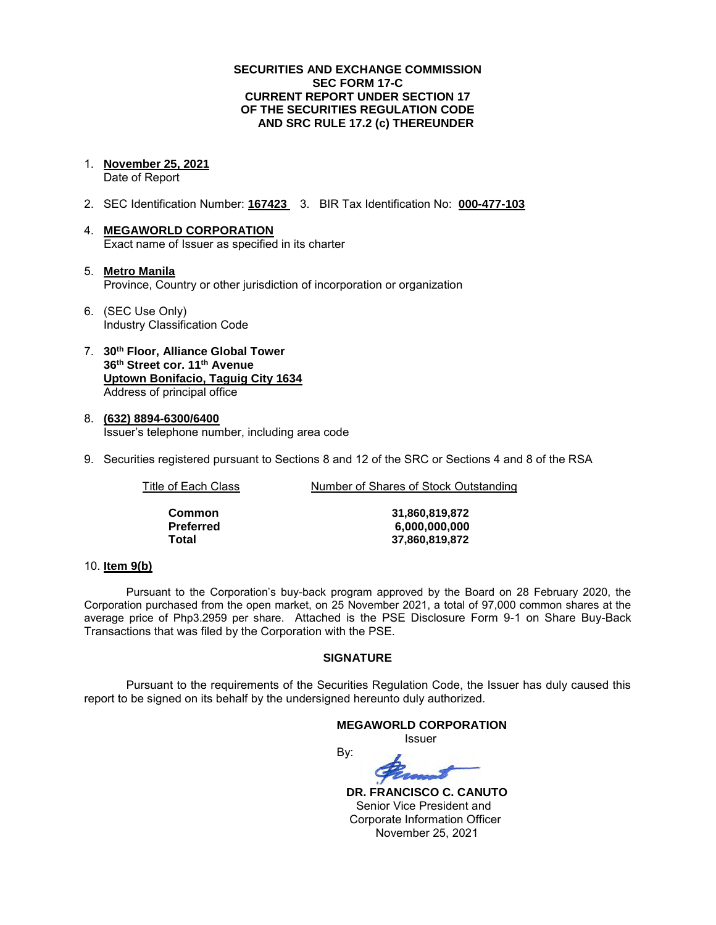### **SECURITIES AND EXCHANGE COMMISSION SEC FORM 17-C CURRENT REPORT UNDER SECTION 17 OF THE SECURITIES REGULATION CODE AND SRC RULE 17.2 (c) THEREUNDER**

1. **November 25, 2021** 

Date of Report

- 2. SEC Identification Number: **167423** 3. BIR Tax Identification No: **000-477-103**
- 4. **MEGAWORLD CORPORATION**  Exact name of Issuer as specified in its charter
- 5. **Metro Manila** Province, Country or other jurisdiction of incorporation or organization
- 6. (SEC Use Only) Industry Classification Code
- 7. **30th Floor, Alliance Global Tower 36th Street cor. 11th Avenue Uptown Bonifacio, Taguig City 1634** Address of principal office
- 8. **(632) 8894-6300/6400**  Issuer's telephone number, including area code
- 9. Securities registered pursuant to Sections 8 and 12 of the SRC or Sections 4 and 8 of the RSA

Title of Each Class **Number of Shares of Stock Outstanding** 

| Common    |
|-----------|
| Preferred |
| Total     |

**Common 31,860,819,872 Preferred 6,000,000,000 Total 37,860,819,872**

# 10. **Item 9(b)**

Pursuant to the Corporation's buy-back program approved by the Board on 28 February 2020, the Corporation purchased from the open market, on 25 November 2021, a total of 97,000 common shares at the average price of Php3.2959 per share. Attached is the PSE Disclosure Form 9-1 on Share Buy-Back Transactions that was filed by the Corporation with the PSE.

# **SIGNATURE**

Pursuant to the requirements of the Securities Regulation Code, the Issuer has duly caused this report to be signed on its behalf by the undersigned hereunto duly authorized.

### **MEGAWORLD CORPORATION**

*<u>Issuer</u> Issuer Issuer* 

By:

 **DR. FRANCISCO C. CANUTO**  Senior Vice President and Corporate Information Officer November 25, 2021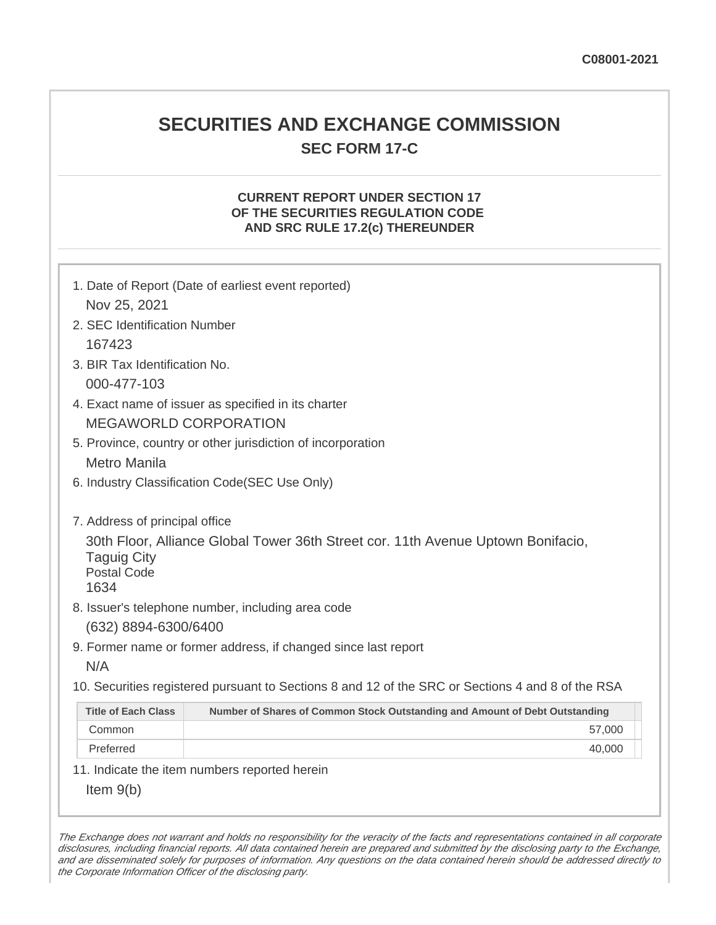# **SECURITIES AND EXCHANGE COMMISSION SEC FORM 17-C**

# **CURRENT REPORT UNDER SECTION 17 OF THE SECURITIES REGULATION CODE AND SRC RULE 17.2(c) THEREUNDER**

| 1. Date of Report (Date of earliest event reported)                                                                                  |                                                                                                   |  |  |  |  |
|--------------------------------------------------------------------------------------------------------------------------------------|---------------------------------------------------------------------------------------------------|--|--|--|--|
| Nov 25, 2021                                                                                                                         |                                                                                                   |  |  |  |  |
| 2. SEC Identification Number                                                                                                         |                                                                                                   |  |  |  |  |
| 167423                                                                                                                               |                                                                                                   |  |  |  |  |
| 3. BIR Tax Identification No.                                                                                                        |                                                                                                   |  |  |  |  |
| 000-477-103                                                                                                                          |                                                                                                   |  |  |  |  |
| 4. Exact name of issuer as specified in its charter                                                                                  |                                                                                                   |  |  |  |  |
| <b>MEGAWORLD CORPORATION</b>                                                                                                         |                                                                                                   |  |  |  |  |
| 5. Province, country or other jurisdiction of incorporation                                                                          |                                                                                                   |  |  |  |  |
| <b>Metro Manila</b>                                                                                                                  |                                                                                                   |  |  |  |  |
| 6. Industry Classification Code(SEC Use Only)                                                                                        |                                                                                                   |  |  |  |  |
|                                                                                                                                      |                                                                                                   |  |  |  |  |
| 7. Address of principal office                                                                                                       |                                                                                                   |  |  |  |  |
| 30th Floor, Alliance Global Tower 36th Street cor. 11th Avenue Uptown Bonifacio,<br><b>Taguig City</b><br><b>Postal Code</b><br>1634 |                                                                                                   |  |  |  |  |
| 8. Issuer's telephone number, including area code                                                                                    |                                                                                                   |  |  |  |  |
| (632) 8894-6300/6400                                                                                                                 |                                                                                                   |  |  |  |  |
| 9. Former name or former address, if changed since last report                                                                       |                                                                                                   |  |  |  |  |
| N/A                                                                                                                                  |                                                                                                   |  |  |  |  |
|                                                                                                                                      | 10. Securities registered pursuant to Sections 8 and 12 of the SRC or Sections 4 and 8 of the RSA |  |  |  |  |
| <b>Title of Each Class</b>                                                                                                           | Number of Shares of Common Stock Outstanding and Amount of Debt Outstanding                       |  |  |  |  |
| Common                                                                                                                               | 57,000                                                                                            |  |  |  |  |
| Preferred                                                                                                                            | 40,000                                                                                            |  |  |  |  |
| 11. Indicate the item numbers reported herein                                                                                        |                                                                                                   |  |  |  |  |
| Item $9(b)$                                                                                                                          |                                                                                                   |  |  |  |  |

The Exchange does not warrant and holds no responsibility for the veracity of the facts and representations contained in all corporate disclosures, including financial reports. All data contained herein are prepared and submitted by the disclosing party to the Exchange, and are disseminated solely for purposes of information. Any questions on the data contained herein should be addressed directly to the Corporate Information Officer of the disclosing party.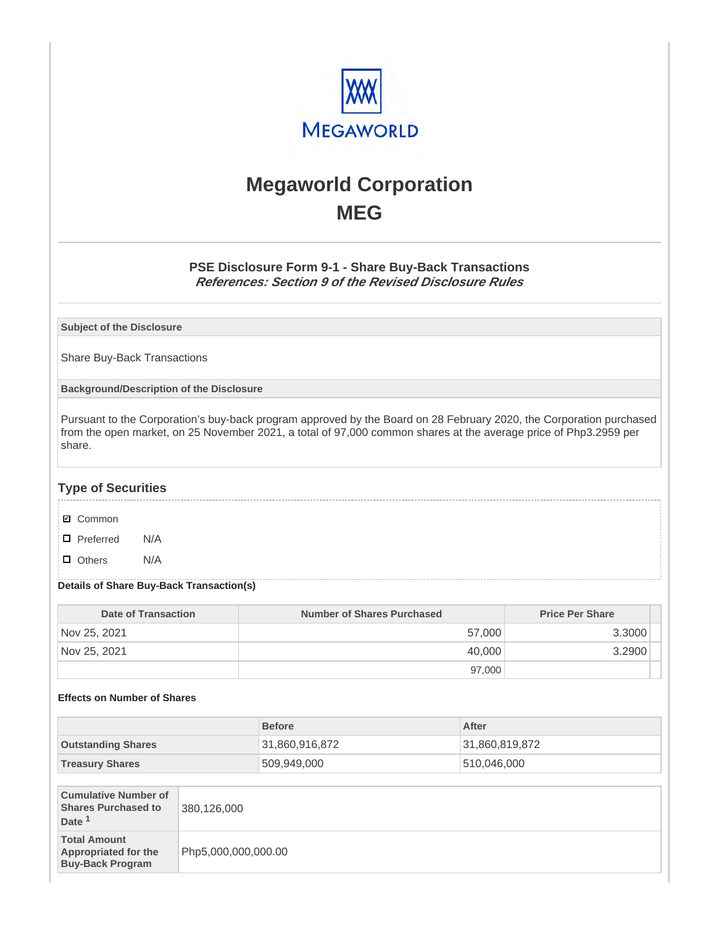

# **Megaworld Corporation MEG**

# **PSE Disclosure Form 9-1 - Share Buy-Back Transactions References: Section 9 of the Revised Disclosure Rules**

**Subject of the Disclosure**

Share Buy-Back Transactions

**Background/Description of the Disclosure**

Pursuant to the Corporation's buy-back program approved by the Board on 28 February 2020, the Corporation purchased from the open market, on 25 November 2021, a total of 97,000 common shares at the average price of Php3.2959 per share.

# **Type of Securities**

- **☑** Common
- □ Preferred N/A
- D Others N/A

### **Details of Share Buy-Back Transaction(s)**

| Date of Transaction | <b>Number of Shares Purchased</b> | <b>Price Per Share</b> |
|---------------------|-----------------------------------|------------------------|
| Nov 25, 2021        | 57,000                            | 3.3000                 |
| Nov 25, 2021        | 40,000                            | 3.2900                 |
|                     | 97,000                            |                        |

### **Effects on Number of Shares**

|                                                                                |                     | <b>Before</b>  | After          |
|--------------------------------------------------------------------------------|---------------------|----------------|----------------|
| <b>Outstanding Shares</b>                                                      |                     | 31,860,916,872 | 31,860,819,872 |
| <b>Treasury Shares</b>                                                         |                     | 509,949,000    | 510,046,000    |
|                                                                                |                     |                |                |
| <b>Cumulative Number of</b><br><b>Shares Purchased to</b><br>Date <sup>1</sup> | 380,126,000         |                |                |
| <b>Total Amount</b><br><b>Appropriated for the</b><br><b>Buy-Back Program</b>  | Php5,000,000,000.00 |                |                |